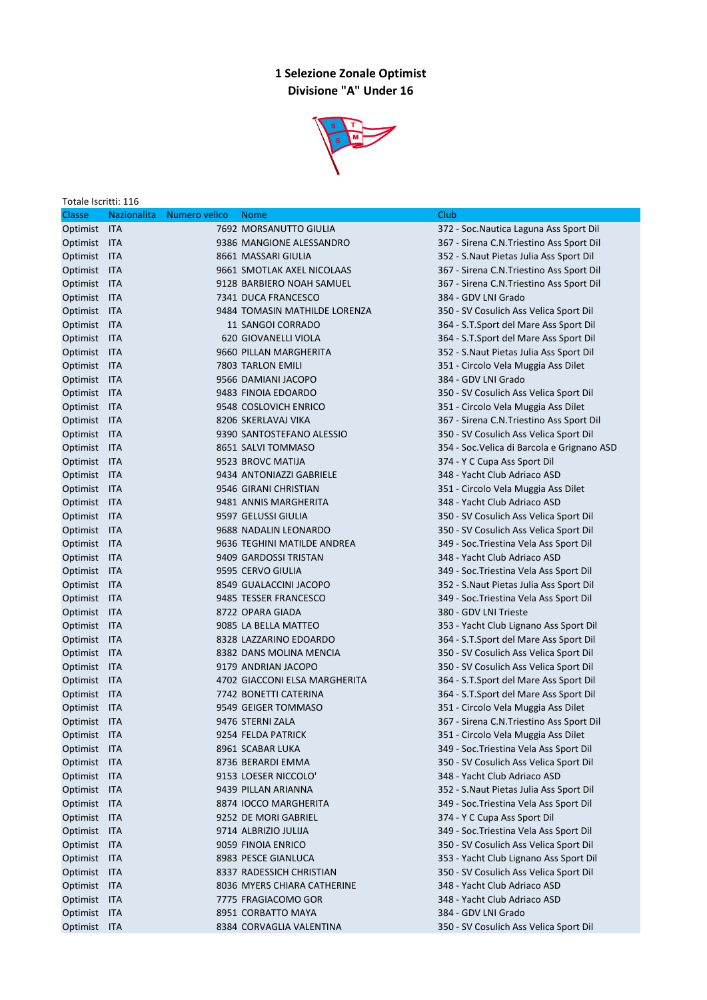## 1 Selezione Zonale Optimist Divisione "A" Under 16



| Totale Iscritti: 116 |                    |               |                               |                                             |  |  |  |
|----------------------|--------------------|---------------|-------------------------------|---------------------------------------------|--|--|--|
| Classe               | <b>Nazionalita</b> | Numero velico | <b>Nome</b>                   | Club                                        |  |  |  |
| Optimist ITA         |                    |               | 7692 MORSANUTTO GIULIA        | 372 - Soc. Nautica Laguna Ass Sport Dil     |  |  |  |
| Optimist ITA         |                    |               | 9386 MANGIONE ALESSANDRO      | 367 - Sirena C.N. Triestino Ass Sport Dil   |  |  |  |
| Optimist ITA         |                    |               | 8661 MASSARI GIULIA           | 352 - S.Naut Pietas Julia Ass Sport Dil     |  |  |  |
| Optimist ITA         |                    |               | 9661 SMOTLAK AXEL NICOLAAS    | 367 - Sirena C.N. Triestino Ass Sport Dil   |  |  |  |
| Optimist ITA         |                    |               | 9128 BARBIERO NOAH SAMUEL     | 367 - Sirena C.N. Triestino Ass Sport Dil   |  |  |  |
| Optimist ITA         |                    |               | 7341 DUCA FRANCESCO           | 384 - GDV LNI Grado                         |  |  |  |
| Optimist ITA         |                    |               | 9484 TOMASIN MATHILDE LORENZA | 350 - SV Cosulich Ass Velica Sport Dil      |  |  |  |
| Optimist ITA         |                    |               | 11 SANGOI CORRADO             | 364 - S.T.Sport del Mare Ass Sport Dil      |  |  |  |
| Optimist ITA         |                    |               | 620 GIOVANELLI VIOLA          | 364 - S.T.Sport del Mare Ass Sport Dil      |  |  |  |
| Optimist ITA         |                    |               | 9660 PILLAN MARGHERITA        | 352 - S.Naut Pietas Julia Ass Sport Dil     |  |  |  |
| Optimist ITA         |                    |               | 7803 TARLON EMILI             | 351 - Circolo Vela Muggia Ass Dilet         |  |  |  |
| Optimist ITA         |                    |               | 9566 DAMIANI JACOPO           | 384 - GDV LNI Grado                         |  |  |  |
| Optimist ITA         |                    |               | 9483 FINOIA EDOARDO           | 350 - SV Cosulich Ass Velica Sport Dil      |  |  |  |
| Optimist ITA         |                    |               | 9548 COSLOVICH ENRICO         | 351 - Circolo Vela Muggia Ass Dilet         |  |  |  |
| Optimist ITA         |                    |               | 8206 SKERLAVAJ VIKA           | 367 - Sirena C.N.Triestino Ass Sport Dil    |  |  |  |
| Optimist ITA         |                    |               | 9390 SANTOSTEFANO ALESSIO     | 350 - SV Cosulich Ass Velica Sport Dil      |  |  |  |
| Optimist ITA         |                    |               | 8651 SALVI TOMMASO            | 354 - Soc. Velica di Barcola e Grignano ASD |  |  |  |
| Optimist ITA         |                    |               | 9523 BROVC MATIJA             | 374 - Y C Cupa Ass Sport Dil                |  |  |  |
| Optimist ITA         |                    |               | 9434 ANTONIAZZI GABRIELE      | 348 - Yacht Club Adriaco ASD                |  |  |  |
| Optimist ITA         |                    |               | 9546 GIRANI CHRISTIAN         | 351 - Circolo Vela Muggia Ass Dilet         |  |  |  |
| Optimist ITA         |                    |               | 9481 ANNIS MARGHERITA         | 348 - Yacht Club Adriaco ASD                |  |  |  |
| Optimist ITA         |                    |               | 9597 GELUSSI GIULIA           | 350 - SV Cosulich Ass Velica Sport Dil      |  |  |  |
| Optimist ITA         |                    |               | 9688 NADALIN LEONARDO         | 350 - SV Cosulich Ass Velica Sport Dil      |  |  |  |
| Optimist ITA         |                    |               | 9636 TEGHINI MATILDE ANDREA   | 349 - Soc. Triestina Vela Ass Sport Dil     |  |  |  |
| Optimist ITA         |                    |               | 9409 GARDOSSI TRISTAN         | 348 - Yacht Club Adriaco ASD                |  |  |  |
| Optimist ITA         |                    |               | 9595 CERVO GIULIA             | 349 - Soc. Triestina Vela Ass Sport Dil     |  |  |  |
| Optimist ITA         |                    |               | 8549 GUALACCINI JACOPO        | 352 - S.Naut Pietas Julia Ass Sport Dil     |  |  |  |
| Optimist ITA         |                    |               | 9485 TESSER FRANCESCO         | 349 - Soc. Triestina Vela Ass Sport Dil     |  |  |  |
| Optimist ITA         |                    |               | 8722 OPARA GIADA              | 380 - GDV LNI Trieste                       |  |  |  |
| Optimist ITA         |                    |               | 9085 LA BELLA MATTEO          | 353 - Yacht Club Lignano Ass Sport Dil      |  |  |  |
| Optimist ITA         |                    |               | 8328 LAZZARINO EDOARDO        | 364 - S.T.Sport del Mare Ass Sport Dil      |  |  |  |
| Optimist ITA         |                    |               | 8382 DANS MOLINA MENCIA       | 350 - SV Cosulich Ass Velica Sport Dil      |  |  |  |
| Optimist ITA         |                    |               | 9179 ANDRIAN JACOPO           | 350 - SV Cosulich Ass Velica Sport Dil      |  |  |  |
| Optimist ITA         |                    |               | 4702 GIACCONI ELSA MARGHERITA | 364 - S.T.Sport del Mare Ass Sport Dil      |  |  |  |
| Optimist ITA         |                    |               | 7742 BONETTI CATERINA         | 364 - S.T.Sport del Mare Ass Sport Dil      |  |  |  |
| Optimist ITA         |                    |               | 9549 GEIGER TOMMASO           | 351 - Circolo Vela Muggia Ass Dilet         |  |  |  |
| Optimist ITA         |                    |               | 9476 STERNI ZALA              | 367 - Sirena C.N.Triestino Ass Sport Dil    |  |  |  |
| Optimist ITA         |                    |               | 9254 FELDA PATRICK            | 351 - Circolo Vela Muggia Ass Dilet         |  |  |  |
| Optimist ITA         |                    |               | 8961 SCABAR LUKA              | 349 - Soc. Triestina Vela Ass Sport Dil     |  |  |  |
| Optimist ITA         |                    |               | 8736 BERARDI EMMA             | 350 - SV Cosulich Ass Velica Sport Dil      |  |  |  |
| Optimist ITA         |                    |               | 9153 LOESER NICCOLO'          | 348 - Yacht Club Adriaco ASD                |  |  |  |
| Optimist ITA         |                    |               | 9439 PILLAN ARIANNA           | 352 - S. Naut Pietas Julia Ass Sport Dil    |  |  |  |
| Optimist ITA         |                    |               | 8874 IOCCO MARGHERITA         | 349 - Soc. Triestina Vela Ass Sport Dil     |  |  |  |
| Optimist ITA         |                    |               | 9252 DE MORI GABRIEL          | 374 - Y C Cupa Ass Sport Dil                |  |  |  |
| Optimist ITA         |                    |               | 9714 ALBRIZIO JULIJA          | 349 - Soc. Triestina Vela Ass Sport Dil     |  |  |  |
| Optimist ITA         |                    |               | 9059 FINOIA ENRICO            | 350 - SV Cosulich Ass Velica Sport Dil      |  |  |  |
| Optimist ITA         |                    |               | 8983 PESCE GIANLUCA           | 353 - Yacht Club Lignano Ass Sport Dil      |  |  |  |
| Optimist ITA         |                    |               | 8337 RADESSICH CHRISTIAN      | 350 - SV Cosulich Ass Velica Sport Dil      |  |  |  |
| Optimist ITA         |                    |               | 8036 MYERS CHIARA CATHERINE   | 348 - Yacht Club Adriaco ASD                |  |  |  |
| Optimist ITA         |                    |               | 7775 FRAGIACOMO GOR           | 348 - Yacht Club Adriaco ASD                |  |  |  |
| Optimist ITA         |                    |               | 8951 CORBATTO MAYA            | 384 - GDV LNI Grado                         |  |  |  |
| Optimist ITA         |                    |               | 8384 CORVAGLIA VALENTINA      | 350 - SV Cosulich Ass Velica Sport Dil      |  |  |  |